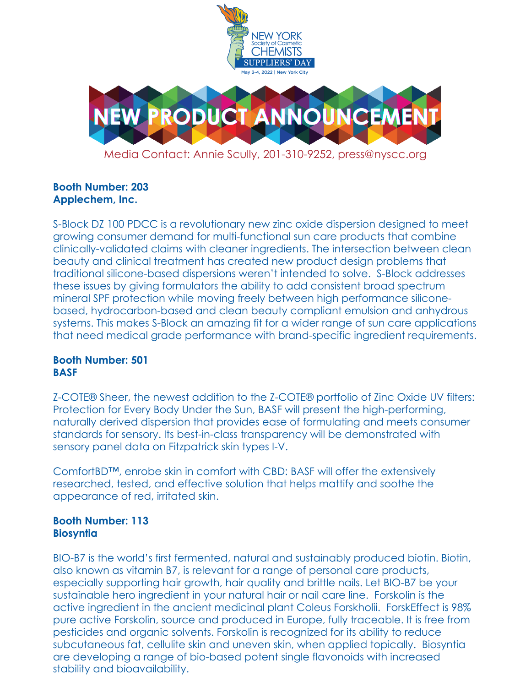

# **Booth Number: 203 Applechem, Inc.**

S-Block DZ 100 PDCC is a revolutionary new zinc oxide dispersion designed to meet growing consumer demand for multi-functional sun care products that combine clinically-validated claims with cleaner ingredients. The intersection between clean beauty and clinical treatment has created new product design problems that traditional silicone-based dispersions weren't intended to solve. S-Block addresses these issues by giving formulators the ability to add consistent broad spectrum mineral SPF protection while moving freely between high performance siliconebased, hydrocarbon-based and clean beauty compliant emulsion and anhydrous systems. This makes S-Block an amazing fit for a wider range of sun care applications that need medical grade performance with brand-specific ingredient requirements.

## **Booth Number: 501 BASF**

Z-COTE® Sheer, the newest addition to the Z-COTE® portfolio of Zinc Oxide UV filters: Protection for Every Body Under the Sun, BASF will present the high-performing, naturally derived dispersion that provides ease of formulating and meets consumer standards for sensory. Its best-in-class transparency will be demonstrated with sensory panel data on Fitzpatrick skin types I-V.

ComfortBD™, enrobe skin in comfort with CBD: BASF will offer the extensively researched, tested, and effective solution that helps mattify and soothe the appearance of red, irritated skin.

## **Booth Number: 113 Biosyntia**

BIO-B7 is the world's first fermented, natural and sustainably produced biotin. Biotin, also known as vitamin B7, is relevant for a range of personal care products, especially supporting hair growth, hair quality and brittle nails. Let BIO-B7 be your sustainable hero ingredient in your natural hair or nail care line. Forskolin is the active ingredient in the ancient medicinal plant Coleus Forskholii. ForskEffect is 98% pure active Forskolin, source and produced in Europe, fully traceable. It is free from pesticides and organic solvents. Forskolin is recognized for its ability to reduce subcutaneous fat, cellulite skin and uneven skin, when applied topically. Biosyntia are developing a range of bio-based potent single flavonoids with increased stability and bioavailability.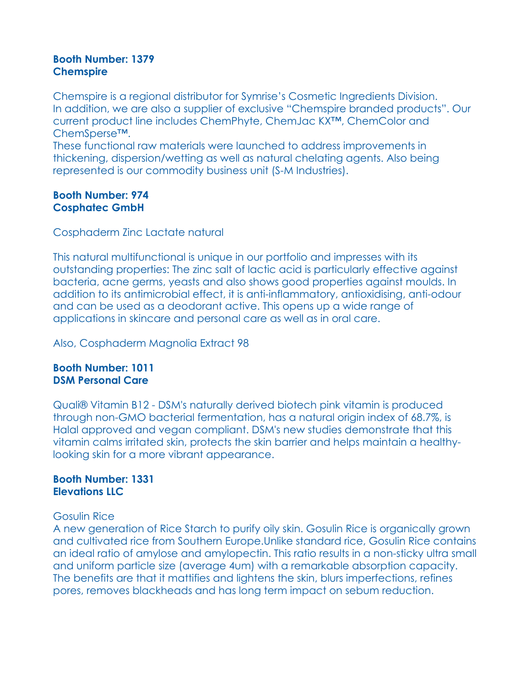#### **Booth Number: 1379 Chemspire**

Chemspire is a regional distributor for Symrise's Cosmetic Ingredients Division. In addition, we are also a supplier of exclusive "Chemspire branded products". Our current product line includes ChemPhyte, ChemJac KX™, ChemColor and ChemSperse™.

These functional raw materials were launched to address improvements in thickening, dispersion/wetting as well as natural chelating agents. Also being represented is our commodity business unit (S-M Industries).

#### **Booth Number: 974 Cosphatec GmbH**

Cosphaderm Zinc Lactate natural

This natural multifunctional is unique in our portfolio and impresses with its outstanding properties: The zinc salt of lactic acid is particularly effective against bacteria, acne germs, yeasts and also shows good properties against moulds. In addition to its antimicrobial effect, it is anti-inflammatory, antioxidising, anti-odour and can be used as a deodorant active. This opens up a wide range of applications in skincare and personal care as well as in oral care.

Also, Cosphaderm Magnolia Extract 98

## **Booth Number: 1011 DSM Personal Care**

Quali® Vitamin B12 - DSM's naturally derived biotech pink vitamin is produced through non-GMO bacterial fermentation, has a natural origin index of 68.7%, is Halal approved and vegan compliant. DSM's new studies demonstrate that this vitamin calms irritated skin, protects the skin barrier and helps maintain a healthylooking skin for a more vibrant appearance.

# **Booth Number: 1331 Elevations LLC**

# Gosulin Rice

A new generation of Rice Starch to purify oily skin. Gosulin Rice is organically grown and cultivated rice from Southern Europe.Unlike standard rice, Gosulin Rice contains an ideal ratio of amylose and amylopectin. This ratio results in a non-sticky ultra small and uniform particle size (average 4um) with a remarkable absorption capacity. The benefits are that it mattifies and lightens the skin, blurs imperfections, refines pores, removes blackheads and has long term impact on sebum reduction.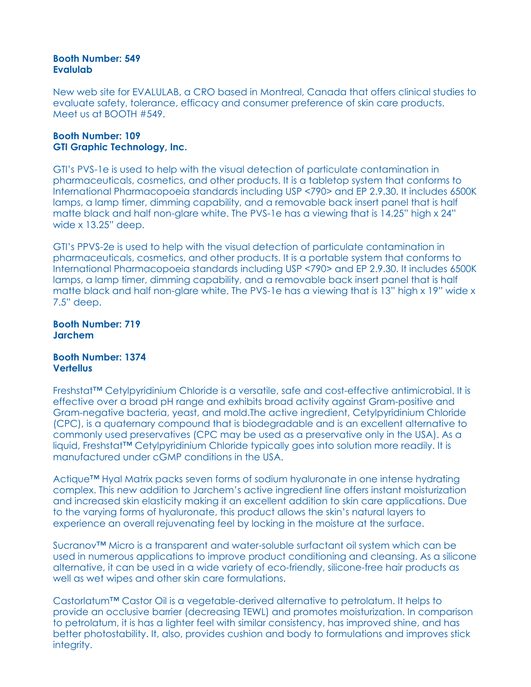#### **Booth Number: 549 Evalulab**

New web site for EVALULAB, a CRO based in Montreal, Canada that offers clinical studies to evaluate safety, tolerance, efficacy and consumer preference of skin care products. Meet us at BOOTH #549.

#### **Booth Number: 109 GTI Graphic Technology, Inc.**

GTI's PVS-1e is used to help with the visual detection of particulate contamination in pharmaceuticals, cosmetics, and other products. It is a tabletop system that conforms to International Pharmacopoeia standards including USP <790> and EP 2.9.30. It includes 6500K lamps, a lamp timer, dimming capability, and a removable back insert panel that is half matte black and half non-glare white. The PVS-1e has a viewing that is 14.25" high x 24" wide x 13.25" deep.

GTI's PPVS-2e is used to help with the visual detection of particulate contamination in pharmaceuticals, cosmetics, and other products. It is a portable system that conforms to International Pharmacopoeia standards including USP <790> and EP 2.9.30. It includes 6500K lamps, a lamp timer, dimming capability, and a removable back insert panel that is half matte black and half non-glare white. The PVS-1e has a viewing that is 13" high x 19" wide x 7.5" deep.

**Booth Number: 719 Jarchem**

#### **Booth Number: 1374 Vertellus**

Freshstat™ Cetylpyridinium Chloride is a versatile, safe and cost-effective antimicrobial. It is effective over a broad pH range and exhibits broad activity against Gram-positive and Gram-negative bacteria, yeast, and mold.The active ingredient, Cetylpyridinium Chloride (CPC), is a quaternary compound that is biodegradable and is an excellent alternative to commonly used preservatives (CPC may be used as a preservative only in the USA). As a liquid, Freshstat™ Cetylpyridinium Chloride typically goes into solution more readily. It is manufactured under cGMP conditions in the USA.

Actique™ Hyal Matrix packs seven forms of sodium hyaluronate in one intense hydrating complex. This new addition to Jarchem's active ingredient line offers instant moisturization and increased skin elasticity making it an excellent addition to skin care applications. Due to the varying forms of hyaluronate, this product allows the skin's natural layers to experience an overall rejuvenating feel by locking in the moisture at the surface.

Sucranov™ Micro is a transparent and water-soluble surfactant oil system which can be used in numerous applications to improve product conditioning and cleansing. As a silicone alternative, it can be used in a wide variety of eco-friendly, silicone-free hair products as well as wet wipes and other skin care formulations.

Castorlatum™ Castor Oil is a vegetable-derived alternative to petrolatum. It helps to provide an occlusive barrier (decreasing TEWL) and promotes moisturization. In comparison to petrolatum, it is has a lighter feel with similar consistency, has improved shine, and has better photostability. It, also, provides cushion and body to formulations and improves stick integrity.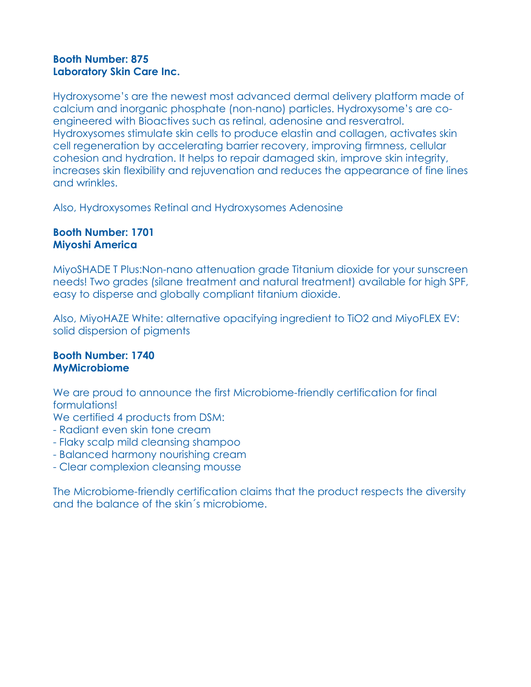# **Booth Number: 875 Laboratory Skin Care Inc.**

Hydroxysome's are the newest most advanced dermal delivery platform made of calcium and inorganic phosphate (non-nano) particles. Hydroxysome's are coengineered with Bioactives such as retinal, adenosine and resveratrol. Hydroxysomes stimulate skin cells to produce elastin and collagen, activates skin cell regeneration by accelerating barrier recovery, improving firmness, cellular cohesion and hydration. It helps to repair damaged skin, improve skin integrity, increases skin flexibility and rejuvenation and reduces the appearance of fine lines and wrinkles.

Also, Hydroxysomes Retinal and Hydroxysomes Adenosine

## **Booth Number: 1701 Miyoshi America**

MiyoSHADE T Plus:Non-nano attenuation grade Titanium dioxide for your sunscreen needs! Two grades (silane treatment and natural treatment) available for high SPF, easy to disperse and globally compliant titanium dioxide.

Also, MiyoHAZE White: alternative opacifying ingredient to TiO2 and MiyoFLEX EV: solid dispersion of pigments

## **Booth Number: 1740 MyMicrobiome**

We are proud to announce the first Microbiome-friendly certification for final formulations!

We certified 4 products from DSM:

- Radiant even skin tone cream
- Flaky scalp mild cleansing shampoo
- Balanced harmony nourishing cream
- Clear complexion cleansing mousse

The Microbiome-friendly certification claims that the product respects the diversity and the balance of the skin´s microbiome.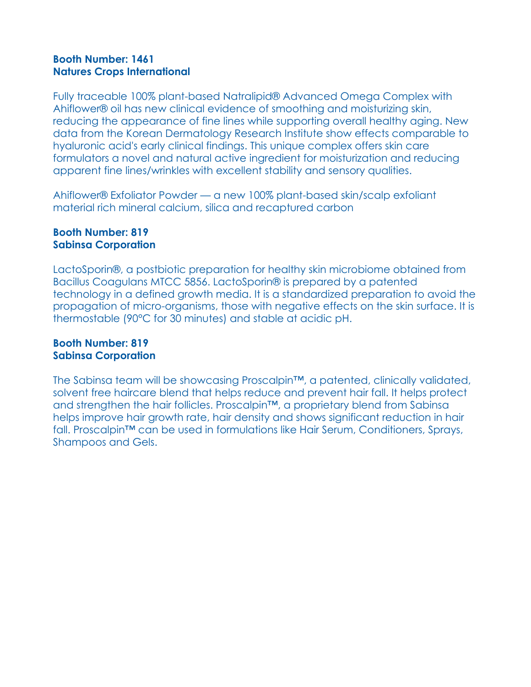# **Booth Number: 1461 Natures Crops International**

Fully traceable 100% plant-based Natralipid® Advanced Omega Complex with Ahiflower® oil has new clinical evidence of smoothing and moisturizing skin, reducing the appearance of fine lines while supporting overall healthy aging. New data from the Korean Dermatology Research Institute show effects comparable to hyaluronic acid's early clinical findings. This unique complex offers skin care formulators a novel and natural active ingredient for moisturization and reducing apparent fine lines/wrinkles with excellent stability and sensory qualities.

Ahiflower® Exfoliator Powder — a new 100% plant-based skin/scalp exfoliant material rich mineral calcium, silica and recaptured carbon

## **Booth Number: 819 Sabinsa Corporation**

LactoSporin®, a postbiotic preparation for healthy skin microbiome obtained from Bacillus Coagulans MTCC 5856. LactoSporin® is prepared by a patented technology in a defined growth media. It is a standardized preparation to avoid the propagation of micro-organisms, those with negative effects on the skin surface. It is thermostable (90°C for 30 minutes) and stable at acidic pH.

## **Booth Number: 819 Sabinsa Corporation**

The Sabinsa team will be showcasing Proscalpin™, a patented, clinically validated, solvent free haircare blend that helps reduce and prevent hair fall. It helps protect and strengthen the hair follicles. Proscalpin™, a proprietary blend from Sabinsa helps improve hair growth rate, hair density and shows significant reduction in hair fall. Proscalpin™ can be used in formulations like Hair Serum, Conditioners, Sprays, Shampoos and Gels.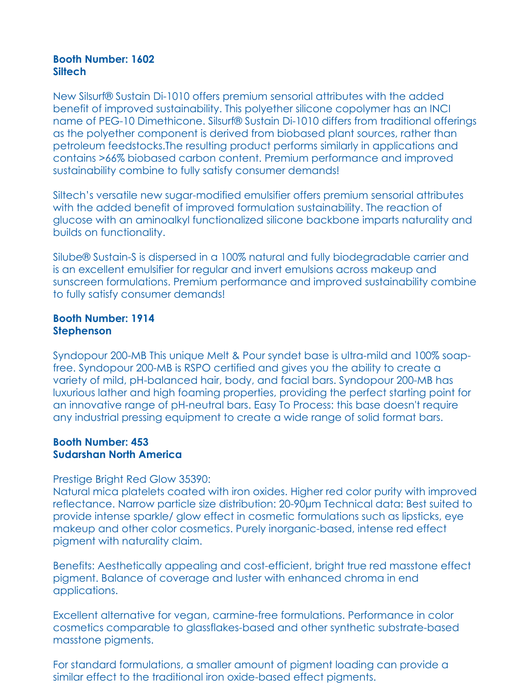#### **Booth Number: 1602 Siltech**

New Silsurf® Sustain Di-1010 offers premium sensorial attributes with the added benefit of improved sustainability. This polyether silicone copolymer has an INCI name of PEG-10 Dimethicone. Silsurf® Sustain Di-1010 differs from traditional offerings as the polyether component is derived from biobased plant sources, rather than petroleum feedstocks.The resulting product performs similarly in applications and contains >66% biobased carbon content. Premium performance and improved sustainability combine to fully satisfy consumer demands!

Siltech's versatile new sugar-modified emulsifier offers premium sensorial attributes with the added benefit of improved formulation sustainability. The reaction of glucose with an aminoalkyl functionalized silicone backbone imparts naturality and builds on functionality.

Silube® Sustain-S is dispersed in a 100% natural and fully biodegradable carrier and is an excellent emulsifier for regular and invert emulsions across makeup and sunscreen formulations. Premium performance and improved sustainability combine to fully satisfy consumer demands!

#### **Booth Number: 1914 Stephenson**

Syndopour 200-MB This unique Melt & Pour syndet base is ultra-mild and 100% soapfree. Syndopour 200-MB is RSPO certified and gives you the ability to create a variety of mild, pH-balanced hair, body, and facial bars. Syndopour 200-MB has luxurious lather and high foaming properties, providing the perfect starting point for an innovative range of pH-neutral bars. Easy To Process: this base doesn't require any industrial pressing equipment to create a wide range of solid format bars.

## **Booth Number: 453 Sudarshan North America**

#### Prestige Bright Red Glow 35390:

Natural mica platelets coated with iron oxides. Higher red color purity with improved reflectance. Narrow particle size distribution: 20-90µm Technical data: Best suited to provide intense sparkle/ glow effect in cosmetic formulations such as lipsticks, eye makeup and other color cosmetics. Purely inorganic-based, intense red effect pigment with naturality claim.

Benefits: Aesthetically appealing and cost-efficient, bright true red masstone effect pigment. Balance of coverage and luster with enhanced chroma in end applications.

Excellent alternative for vegan, carmine-free formulations. Performance in color cosmetics comparable to glassflakes-based and other synthetic substrate-based masstone pigments.

For standard formulations, a smaller amount of pigment loading can provide a similar effect to the traditional iron oxide-based effect pigments.